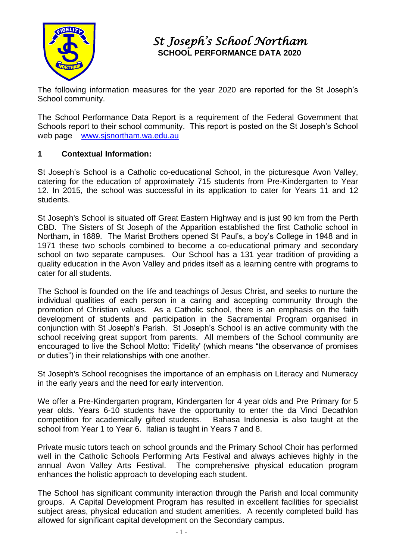

# *St Joseph's School Northam*  **SCHOOL PERFORMANCE DATA 2020**

The following information measures for the year 2020 are reported for the St Joseph's School community.

The School Performance Data Report is a requirement of the Federal Government that Schools report to their school community. This report is posted on the St Joseph's School web page [www.sjsnortham.wa.edu.au](http://www.sjsnortham.wa.edu.au/)

#### **1 Contextual Information:**

St Joseph's School is a Catholic co-educational School, in the picturesque Avon Valley, catering for the education of approximately 715 students from Pre-Kindergarten to Year 12. In 2015, the school was successful in its application to cater for Years 11 and 12 students.

St Joseph's School is situated off Great Eastern Highway and is just 90 km from the Perth CBD. The Sisters of St Joseph of the Apparition established the first Catholic school in Northam, in 1889. The Marist Brothers opened St Paul's, a boy's College in 1948 and in 1971 these two schools combined to become a co-educational primary and secondary school on two separate campuses. Our School has a 131 year tradition of providing a quality education in the Avon Valley and prides itself as a learning centre with programs to cater for all students.

The School is founded on the life and teachings of Jesus Christ, and seeks to nurture the individual qualities of each person in a caring and accepting community through the promotion of Christian values. As a Catholic school, there is an emphasis on the faith development of students and participation in the Sacramental Program organised in conjunction with St Joseph's Parish. St Joseph's School is an active community with the school receiving great support from parents. All members of the School community are encouraged to live the School Motto: 'Fidelity' (which means "the observance of promises or duties") in their relationships with one another.

St Joseph's School recognises the importance of an emphasis on Literacy and Numeracy in the early years and the need for early intervention.

We offer a Pre-Kindergarten program, Kindergarten for 4 year olds and Pre Primary for 5 year olds. Years 6-10 students have the opportunity to enter the da Vinci Decathlon competition for academically gifted students. Bahasa Indonesia is also taught at the school from Year 1 to Year 6. Italian is taught in Years 7 and 8.

Private music tutors teach on school grounds and the Primary School Choir has performed well in the Catholic Schools Performing Arts Festival and always achieves highly in the annual Avon Valley Arts Festival. The comprehensive physical education program enhances the holistic approach to developing each student.

The School has significant community interaction through the Parish and local community groups. A Capital Development Program has resulted in excellent facilities for specialist subject areas, physical education and student amenities. A recently completed build has allowed for significant capital development on the Secondary campus.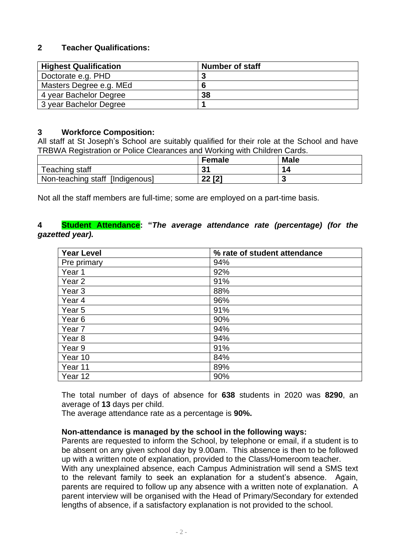## **2 Teacher Qualifications:**

| <b>Highest Qualification</b> | <b>Number of staff</b> |
|------------------------------|------------------------|
| Doctorate e.g. PHD           |                        |
| Masters Degree e.g. MEd      | 6                      |
| 4 year Bachelor Degree       | 38                     |
| 3 year Bachelor Degree       |                        |

#### **3 Workforce Composition:**

All staff at St Joseph's School are suitably qualified for their role at the School and have TRBWA Registration or Police Clearances and Working with Children Cards.

|                                 | <b>Female</b>       | <b>Male</b> |
|---------------------------------|---------------------|-------------|
| Teaching staff                  | 3'                  | 14          |
| Non-teaching staff [Indigenous] | <b>22 [2]</b><br>ZZ |             |

Not all the staff members are full-time; some are employed on a part-time basis.

#### **4 Student Attendance: "***The average attendance rate (percentage) (for the gazetted year).*

| <b>Year Level</b> | % rate of student attendance |
|-------------------|------------------------------|
| Pre primary       | 94%                          |
| Year 1            | 92%                          |
| Year <sub>2</sub> | 91%                          |
| Year <sub>3</sub> | 88%                          |
| Year <sub>4</sub> | 96%                          |
| Year <sub>5</sub> | 91%                          |
| Year <sub>6</sub> | 90%                          |
| Year <sub>7</sub> | 94%                          |
| Year <sub>8</sub> | 94%                          |
| Year 9            | 91%                          |
| Year 10           | 84%                          |
| Year 11           | 89%                          |
| Year 12           | 90%                          |

The total number of days of absence for **638** students in 2020 was **8290**, an average of **13** days per child.

The average attendance rate as a percentage is **90%.**

#### **Non-attendance is managed by the school in the following ways:**

Parents are requested to inform the School, by telephone or email, if a student is to be absent on any given school day by 9.00am. This absence is then to be followed up with a written note of explanation, provided to the Class/Homeroom teacher.

With any unexplained absence, each Campus Administration will send a SMS text to the relevant family to seek an explanation for a student's absence. Again, parents are required to follow up any absence with a written note of explanation. A parent interview will be organised with the Head of Primary/Secondary for extended lengths of absence, if a satisfactory explanation is not provided to the school.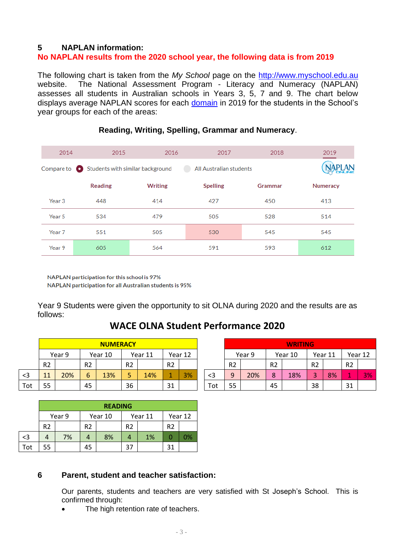#### **5 NAPLAN information:**

## **No NAPLAN results from the 2020 school year, the following data is from 2019**

The following chart is taken from the *My School* page on the [http://www.myschool.edu.au](http://www.myschool.edu.au/) website. The National Assessment Program - Literacy and Numeracy (NAPLAN) assesses all students in Australian schools in Years 3, 5, 7 and 9. The chart below displays average NAPLAN scores for each [domain](javascript:popUp() in 2019 for the students in the School's year groups for each of the areas:

| 2014              | 2015                                                  | 2016           | 2017                    | 2018    | 2019            |
|-------------------|-------------------------------------------------------|----------------|-------------------------|---------|-----------------|
|                   | Compare to $\bullet$ Students with similar background |                | All Australian students |         |                 |
|                   | <b>Reading</b>                                        | <b>Writing</b> | <b>Spelling</b>         | Grammar | <b>Numeracy</b> |
| Year 3            | 448                                                   | 414            | 427                     | 450     | 413             |
| Year 5            | 534                                                   | 479            | 505                     | 528     | 514             |
| Year <sub>7</sub> | 551                                                   | 505            | 530                     | 545     | 545             |
| Year 9            | 605                                                   | 564            | 591                     | 593     | 612             |

#### **Reading, Writing, Spelling, Grammar and Numeracy**.

NAPLAN participation for this school is 97% NAPLAN participation for all Australian students is 95%

Year 9 Students were given the opportunity to sit OLNA during 2020 and the results are as follows:

# **WACE OLNA Student Performance 2020**

|     | <b>NUMERACY</b> |        |                |         |                |         |                |    |  |     |                |     |                | <b>WRITING</b> |                |         |                |         |  |         |
|-----|-----------------|--------|----------------|---------|----------------|---------|----------------|----|--|-----|----------------|-----|----------------|----------------|----------------|---------|----------------|---------|--|---------|
|     |                 | Year 9 |                | Year 10 |                | Year 11 | Year 12        |    |  |     |                |     |                | Year 9         |                | Year 10 |                | Year 11 |  | Year 12 |
|     | R <sub>2</sub>  |        | R <sub>2</sub> |         | R <sub>2</sub> |         | R <sub>2</sub> |    |  |     | R <sub>2</sub> |     | R <sub>2</sub> |                | R <sub>2</sub> |         | R <sub>2</sub> |         |  |         |
| $3$ | 11              | 20%    | 6              | 13%     | ے              | 14%     | A              | 3% |  | <3  | C              | 20% | $\circ$<br>٥   | 18%            | ÷              | 8%      | - 1            | 3%      |  |         |
| Tot | 55              |        | 45             |         | 36             |         | 31             |    |  | Tot | 55             |     | 45             |                | 38             |         | 31             |         |  |         |

|     |                | <b>READING</b> |                |         |                |         |                |    |  |  |  |  |
|-----|----------------|----------------|----------------|---------|----------------|---------|----------------|----|--|--|--|--|
|     |                | Year 9         |                | Year 10 |                | Year 11 | Year 12        |    |  |  |  |  |
|     | R <sub>2</sub> |                | R <sub>2</sub> |         | R <sub>2</sub> |         | R <sub>2</sub> |    |  |  |  |  |
| $3$ |                | 7%             |                | 8%      |                | 1%      |                | 0% |  |  |  |  |
| Tot | 55             |                | 45             |         | 37             |         | 31             |    |  |  |  |  |

| <b>NUMERACY</b> |                |         |                |         |                |    |          |                |        |                | <b>WRITING</b> |                |         |                |         |
|-----------------|----------------|---------|----------------|---------|----------------|----|----------|----------------|--------|----------------|----------------|----------------|---------|----------------|---------|
| Year 9          |                | Year 10 |                | Year 11 | Year 12        |    |          |                | Year 9 |                | Year 10        |                | Year 11 |                | Year 12 |
|                 | R <sub>2</sub> |         | R <sub>2</sub> |         | R <sub>2</sub> |    |          | R <sub>2</sub> |        | R <sub>2</sub> |                | R <sub>2</sub> |         | R <sub>2</sub> |         |
| 20%             | 6              | 13%     |                | 14%     |                | 3% | $\leq$ 3 | 9              | 20%    | 8              | 18%            |                | 8%      |                | 3%      |
|                 | 45             |         | 36             |         | 31             |    | Tot      | 55             |        | 45             |                | 38             |         | 31             |         |

#### **6 Parent, student and teacher satisfaction:**

Our parents, students and teachers are very satisfied with St Joseph's School. This is confirmed through:

The high retention rate of teachers.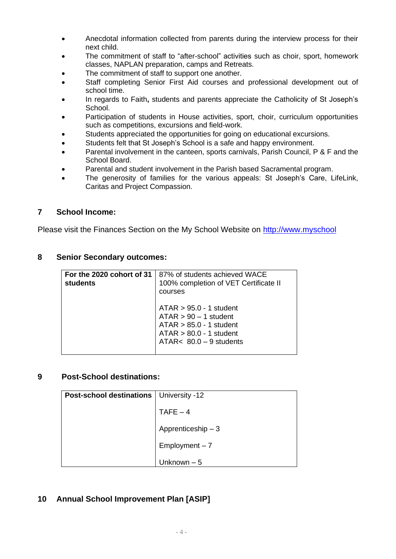- Anecdotal information collected from parents during the interview process for their next child.
- The commitment of staff to "after-school" activities such as choir, sport, homework classes, NAPLAN preparation, camps and Retreats.
- The commitment of staff to support one another.
- Staff completing Senior First Aid courses and professional development out of school time.
- In regards to Faith**,** students and parents appreciate the Catholicity of St Joseph's School.
- Participation of students in House activities, sport, choir, curriculum opportunities such as competitions, excursions and field-work.
- Students appreciated the opportunities for going on educational excursions.
- Students felt that St Joseph's School is a safe and happy environment.
- Parental involvement in the canteen, sports carnivals, Parish Council, P & F and the School Board.
- Parental and student involvement in the Parish based Sacramental program.
- The generosity of families for the various appeals: St Joseph's Care, LifeLink, Caritas and Project Compassion.

#### **7 School Income:**

Please visit the Finances Section on the My School Website on [http://www.myschool](http://www.myschool/)

#### **8 Senior Secondary outcomes:**

| For the 2020 cohort of 31<br>students | 87% of students achieved WACE<br>100% completion of VET Certificate II<br>courses                                                           |
|---------------------------------------|---------------------------------------------------------------------------------------------------------------------------------------------|
|                                       | $ATAR > 95.0 - 1$ student<br>$ATAR > 90 - 1$ student<br>$ATAR > 85.0 - 1$ student<br>$ATAR > 80.0 - 1$ student<br>ATAR< $80.0 - 9$ students |

#### **9 Post-School destinations:**

| <b>Post-school destinations</b> | University -12      |
|---------------------------------|---------------------|
|                                 | $TAFE - 4$          |
|                                 | Apprenticeship $-3$ |
|                                 | $Employment - 7$    |
|                                 | Unknown – 5         |

#### **10 Annual School Improvement Plan [ASIP]**